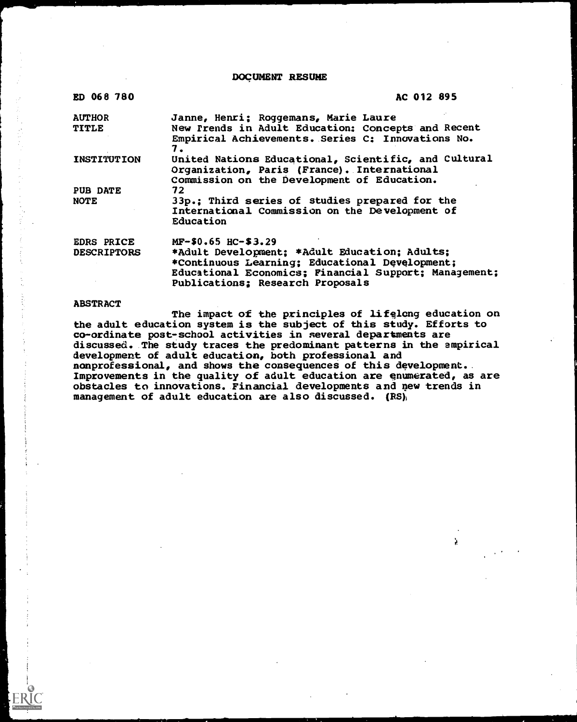DOCUMENT RESUME

| ED 068 780         | AC 012 895                                                                                                                                                                                   |
|--------------------|----------------------------------------------------------------------------------------------------------------------------------------------------------------------------------------------|
| <b>AUTHOR</b>      | Janne, Henri; Roggemans, Marie Laure                                                                                                                                                         |
| <b>TITLE</b>       | New Prends in Adult Education: Concepts and Recent<br>Empirical Achievements. Series C: Innovations No.<br>7.                                                                                |
| <b>INSTITUTION</b> | United Nations Educational, Scientific, and Cultural<br>Organization, Paris (France). International<br>Commission on the Development of Education.                                           |
| PUB DATE           | 72                                                                                                                                                                                           |
| <b>NOTE</b>        | 33p.; Third series of studies prepared for the<br>International Commission on the Development of<br>Education                                                                                |
| <b>EDRS PRICE</b>  | $MF-$0.65$ HC-\$3.29                                                                                                                                                                         |
| <b>DESCRIPTORS</b> | *Adult Development; *Adult Education; Adults;<br>*Continuous Learning; Educational Development;<br>Educational Economics; Financial Support; Management;<br>Publications: Research Proposals |

#### **ABSTRACT**

The impact of the principles of lifelong education on the adult education system is the subject of this study. Efforts to co-ordinate post-school activities in several departments are discussed. The study traces the predominant patterns in the empirical development of adult education, both professional and nonprofessional, and shows the consequences of this development.. Improvements in the quality of adult education are enumerated, as are obstacles to innovations. Financial developments and new trends in management of adult education are also discussed.  $(RS)$ 

à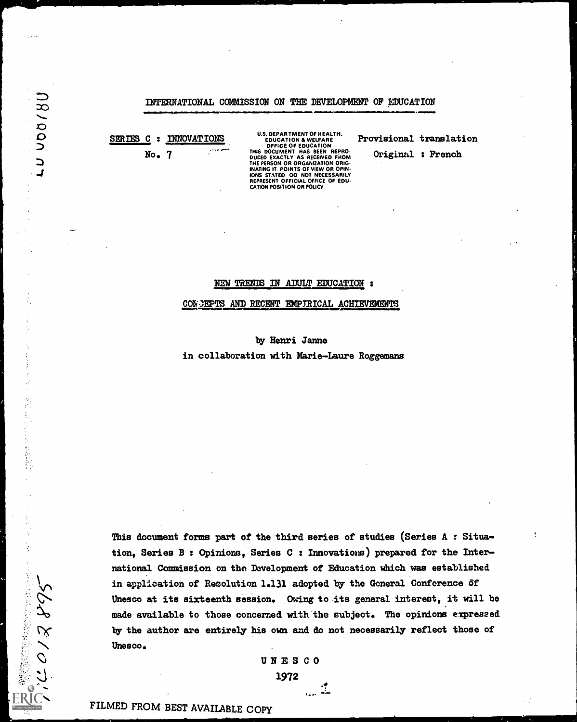## INTERNATIONAL COMMISSION ON THE DEVELOPMENT OF EDUCATION

SERIES C : INNOVATIONS No. 7

**MADONA7** 

 $\mathbb{C}^*$ 

2000年6月

 $\sigma$ 13, 895

U.S. DEPARTMENT OF HEALTH.<br>
EDUCATION & WELFARE Provisi<br>
DEFICE OF EDUCATION<br>
THIS DOCUMENT HAS BEEN REPRO.<br>
DUCED EXACTLY AS RECEIVED FROM<br>
THE PERSON OR ORGANIZATION ORIG.<br>
INATING IT. POINTS OF VIEW OR OPIN.<br>
INATING IT CATION POSITION OR POLICY.

Provisional translation

Original : French

#### NEW TRENIS IN ADULT EDUCATION :

CON3EPTS AND RECENT EMPIRICAL ACHIEVEMENTS

#### by Henri Janne

in collaboration with Marie-Laure Roggemans

This document forms part of the third series of studies (Series A : Situation, Series B : Opinions, Series C : Innovations) prepared for the International Commission on the Development of Education which was established in application of Resolution 1.131 adopted by the General Conference 6f Unesco at its sixteenth session. Owing to its general interest, it will be made available to those concerned with the subject. The opinions expressed by the author are entirely his own and do not necessarily reflect those of Unesco.

UNESCO

1972

1

FILMED FROM BEST AVAILABLE COPY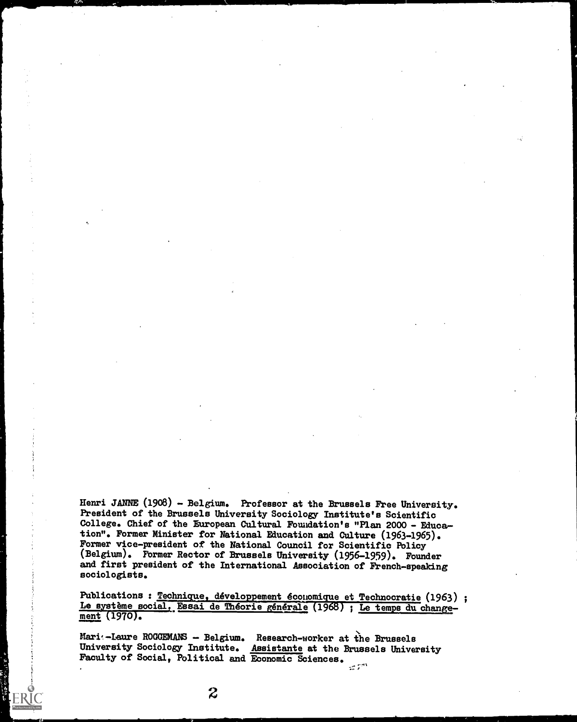Henri JANNE (1908) - Belgium. Professor at the Brussels Free University. President of the Brussels University Sociology Institute's Scientific College. Chief of the European Cultural Foundation's "Plan 2000 - Education". Former Minister for National Education and Culture (1963-1965). Former vice-president of the National Council for Scientific Policy (Belgium). Fbrmer Rector of Brussels University (1956-1959). Founder and first president of the International Association of French-speaking sociologists.

Publications : Technique, développement économique et Technocratie (1963) ;<br>Le système social, Essai de Théorie générale (1968) ; Le temps du changement (1970).

Mari:-Laure ROGGEMANS - Belgium. Research-worker at the Brussels University Sociology Institute. Assistante at the Brussels University Faculty of Social, Political and Eoonomic Sciences. $\mathbb{R}^{\mathbb{Z}^{\times \mathbb{R}^n}}$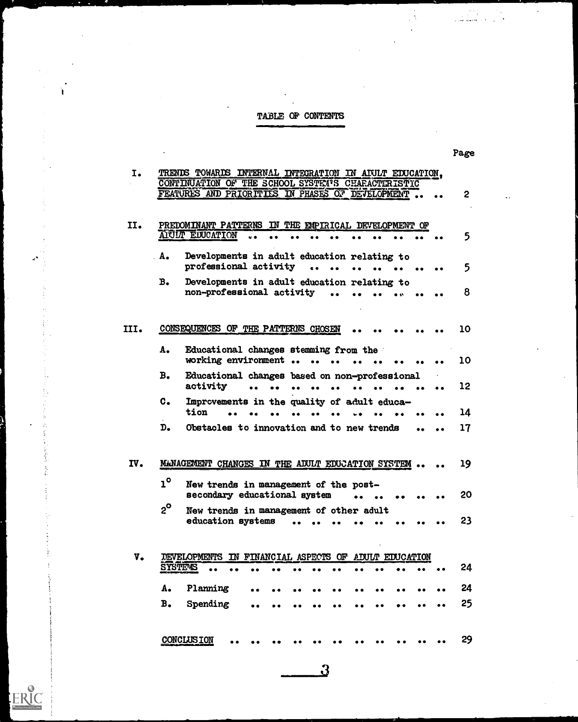# TABLE OP CONTENTS

Ì

 $\hat{\mathcal{L}}_2$ ś.

 $\begin{array}{c} \begin{array}{c} \text{C} \\ \text{Full}_\text{Full}_\text{RRT} \end{array} \end{array}$ 

|                        | TRENDS TOWARDS INTERNAL INTEGRATION IN ADULT EDUCATION.                         |              |
|------------------------|---------------------------------------------------------------------------------|--------------|
|                        | CONTINUATION OF THE SCHOOL SYSTEM'S CHARACTERISTIC                              |              |
|                        | FEATURES AND PRIORITIES IN PHASES OF DEVELOPMENT                                | $\mathbf{2}$ |
|                        |                                                                                 |              |
|                        | PREDOMINANT PATTERNS IN THE EMPIRICAL DEVELOPMENT OF                            |              |
|                        | ALULT EDUCATION                                                                 | 5            |
|                        |                                                                                 |              |
| $A -$                  | Developments in adult education relating to                                     |              |
|                        | professional activity                                                           | 5            |
| B <sub>o</sub>         | Developments in adult education relating to                                     |              |
|                        | non-professional activity                                                       | 8            |
|                        |                                                                                 |              |
|                        |                                                                                 |              |
|                        | CONSEQUENCES OF THE PATTERNS CHOSEN                                             | 10           |
|                        |                                                                                 |              |
| A.                     | Educational changes stemming from the                                           |              |
|                        | working environment                                                             | 10           |
| в.                     | Educational changes based on non-professional                                   |              |
|                        | activity                                                                        | 12           |
| $\mathbf{c}$ .         | Improvements in the quality of adult educa-                                     |              |
|                        | tion                                                                            | 14           |
|                        |                                                                                 |              |
|                        |                                                                                 |              |
| $\mathbf{D}_{\bullet}$ | Obstacles to innovation and to new trends                                       | 17           |
|                        |                                                                                 |              |
|                        | MANAGEMENT CHANGES IN THE ADULT EDUCATION SYSTEM                                | 19           |
|                        |                                                                                 |              |
| $1^\circ$              | New trends in management of the post-                                           |              |
|                        | secondary educational system                                                    | 20           |
| $2^{\circ}$            | New trends in management of other adult                                         |              |
|                        | education systems                                                               | 23           |
|                        |                                                                                 |              |
|                        |                                                                                 |              |
|                        | <b><i>DEVELOPMENTS</i></b><br>FINANCIAL ASPECTS OF ADULT EDUCATION<br><b>IN</b> |              |
|                        | <b>SYSTEMS</b>                                                                  | 24           |
|                        |                                                                                 |              |
| А.                     | Planning                                                                        | 24           |
| B <sub>o</sub>         | Spending                                                                        | 25           |
|                        |                                                                                 |              |
|                        | <b>CONCLUSION</b>                                                               | 29           |

 $\Omega$ 

Page

 $\mathcal{F}_{\mathcal{A}}$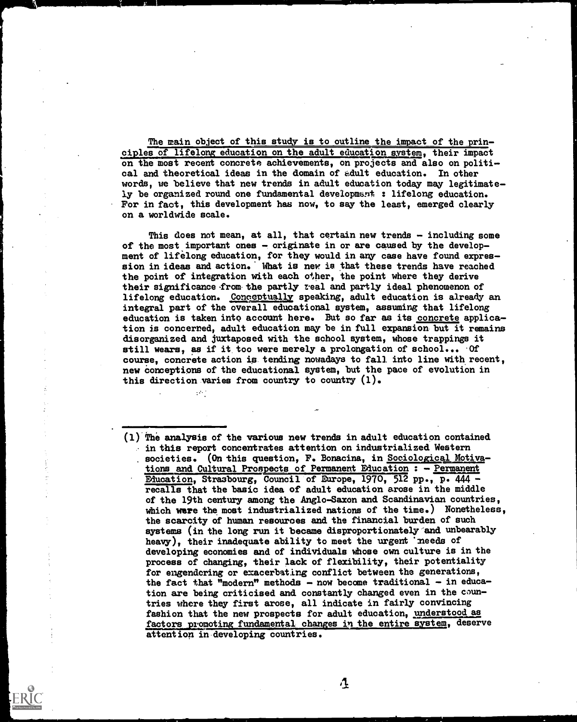The main object of this study is to outline the impact of the principles of lifelong education on the adult education system, their impact on the most recent concrete achievements, on projects and also on political and theoretical ideas in the domain of edult education. In other words, we believe that new trends in adult education today may legitimately be organized round one fundamental development : lifelong education. For in fact, this development has now, to say the least, emerged clearly on a worldwide scale.

This does not mean, at all, that certain new trends - including some of the most important ones - originate in or are caused by the development of lifelong education, for they would in any case have found expression in ideas and action. What is new is that these trends have reached the point of integration with each other, the point where they derive their significance -from. the partly zeal and partly ideal phenomenon of lifelong education. Conceptually speaking, adult education is already an integral part of the overall educational system, assuming that lifelong education is taken into account here. But so far as its concrete application is concerned, adult education may be in full expansion but it remains disorganized and juxtaposed with the school system, whose trappings it still wears, as if it too were merely a prolongation of school... Of course, concrete action is tending nowadays to fall into line with recent, new conceptions of the educational system, but the pace of evolution in this direction varies from country to country  $(1)$ .

 $(1)$  The analysis of the various new trends in adult education contained in this report concentrates attention on industrialized Western societies. (On this question, F. Bonacina, in Sociological Motivations and Cultural Prospects of Permanent Education : - Permanent Education, Strasbourg, Council of Europe, 1970, 512 pp., P. 444 recalls that the basic idea of adult education arose in the middle of the 19th century among the Anglo-Saxon and Scandinavian countries, which were the most industrialized nations of the time.) Nonetheless, the scarcity of human resources and the financial burden of such systems (in the long run it became disproportionately-and unbearably heavy), their inadequate ability to meet the urgent 'needs of developing economies and of individuals whose own culture is in the process of changing, their lack of flexibility, their potentiality for engendering or exacerbating conflict between the generations, the fact that "modern" methods - now become traditional - in education are being criticised and constantly changed even in the countries where they first arose, all indicate in fairly convincing<br>fashion that the new prospects for adult education, understood as factors promoting fundamental changes in the entire system, deserve attention in developing countries.

 $\mathbf{\hat{u}}$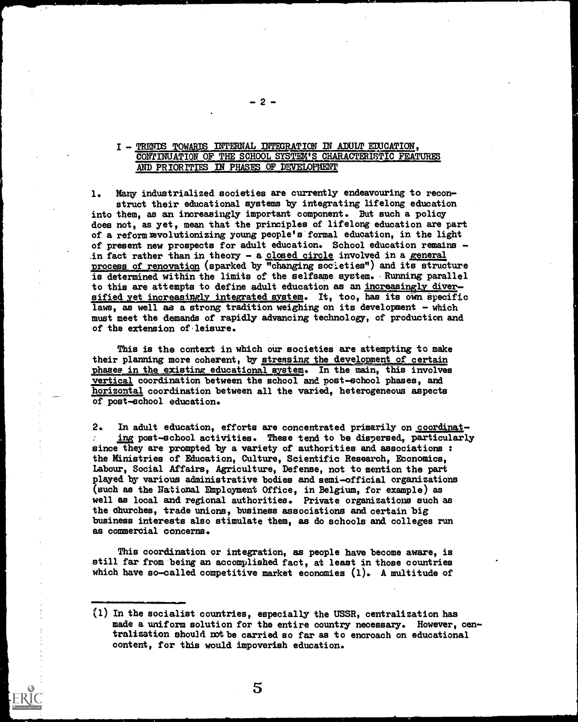# I - TRENDS TOWARDS INTERNAL INTEGRATION IN ADULT EDUCATION. CONTINUATION OF THE SCHOOL SYSTEM'S CHARACTERISTIC FEATURES AND PRIORITIES IN PHASES OF DEVELOPMENT

1. Many industrialized societies are currently endeavouring to reconstruct their educational systems by integrating lifelong education into them, as an increasingly important component. But such a policy does not, as yet, mean that the principles of lifelong education are part of a reform revolutionizing young people's formal education, in the light of present new prospects for adult education. School education remains in fact rather than in theory - a closed circle involved in a general process of renovation (sparked by "changing societies") and its structure is determined within the limits of the selfsame system. Running parallel to this are attempts to define adult education as an increasingly diversified yet increasingly integrated system. It, too, has its own specific laws, as well as a strong tradition weighing on its development - which must meet the demands of rapidly advancing technology, of production and of the extension of leisure.

This is the context in which our societies are attempting to make their planning more coherent, by stressing the development of certain phases in the existing educational system. In the main, this involves vertical coordination between the school and post-school phases, and horizontal coordination between all the varied, heterogeneous aspects of post-school education.

2. In adult education, efforts are concentrated primarily on coordinating post-school activities. These tend to be dispersed, particularly since they are prompted by a variety of authorities and associations : the Ministries of Education, Culture, Scientific Research, Economics, Labour, Social Affairs, Agriculture, Defense, not to mention the part played by various administrative bodies and semi-official organizations (such as the National Employment Office, in Belgium, for example) as well as local and regional authorities. Private organizations such as the churches, trade unions, business associations and certain big business interests also stimulate them, as do schools and colleges run as commercial concerns.

This coordination or integration, as people have become aware, is still far from being an accomplished fact, at least in those countries which have so-called competitive market economies (1). A multitude of

 $-2 -$ 

<sup>(1)</sup> In the socialist countries, especially the USSR, centralization has made a uniform solution for the entire country necessary. However, centralization should not be carried so far as to encroach on educational content, for this would impoverish education.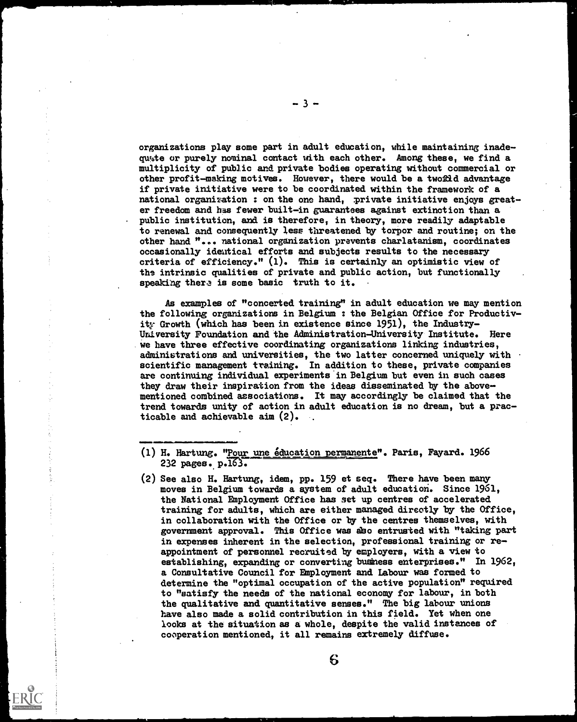organizations play some part in adult education, while maintaining inadeqw4te or purely nominal contact with each other. Among these, we find a multiplicity of public and private bodies operating without commercial or other profit-making motives. However, there would be a twofdd advantage if private initiative were to be coordinated within the framework of a national organization : on the one hand, private initiative enjoys greater freedom and has fewer built-in guarantees against extinction than a public institution, and is therefore, in theory, more readily adaptable to renewal and consequently less threatened by torpor and routine; on the other hand "... national organization prevents charlatanism, coordinates occasionally identical efforts and subjects results to the necessary criteria of efficiency."  $(1)$ . This is certainly an optimistic view of the intrinsic qualities of private and public action, but functionally speaking there is some basic truth to it.

As examples of "concerted training" in adult education we may mention the following organizations in Belgium : the Belgian Office for Productivity- Growth (which has been in existence since 1951), the Industry-University Foundation and the Administration-University Institute. Here we have three effective coordinating organizations linking industries, administrations and universities, the two latter concerned uniquely with scientific management training. In addition to these, private companies are continuing individual experiments in Belgium but even in such cases they draw their inspiration from the ideas disseminated by the abovementioned combined associations. It may accordingly be claimed that the trend towards unity of action in adult education is no dream, but a practicable and achievable aim (2).

OMINIM4IMMOINEMIN.J..

(2) See also H. Hartung, idem, pp. 159 et seq. There have been many moves in Belgium towards a system of adult education. Since 1961, the National Employment Office has set up centres of accelerated training for adults, which are either managed directly by the Office, in collaboration with the Office or by the centres themselves, with government approval. This Office was abo entrusted with "taking part in expenses inherent in the selection, professional training or reappointment of personnel recruited by employers, with a view to establishing, expanding or converting business enterprises." In 1962, a Consultative Council for Employment and Labour was formed to determine the "optimal occupation of the active population" required to "satisfy the needs of the national economy for labour, in both the qualitative and quantitative senses." The big labour unions have also made a solid contribution in this field. Yet when one looks at the situation as a whole, despite the valid instances of cooperation mentioned, it all remains extremely diffuse.

<sup>(1)</sup> H. Hartung. "Pour une education permanente". Paris, Fayard. 1966  $232$  pages.  $p.163$ .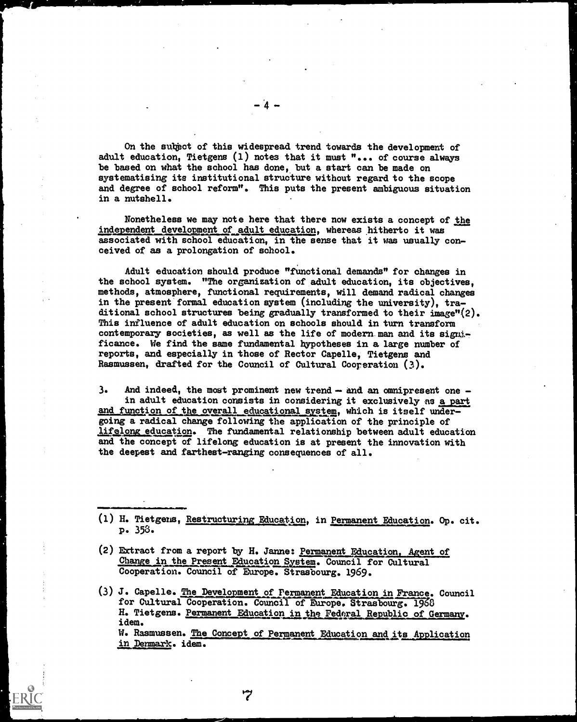On the subject of this widespread trend towards the development of adult education, Tietgens (1) notes that it must "... of course always be based on what the school has done, but a start can be made on systematising its institutional structure without regard to the scope and degree of school reform". This puts the present ambiguous situation in a nutshell.

Nonetheless we may note here that there now exists a concept of the independent development of adult education, whereas hitherto it was associated with school education, in the sense that it was usually conceived of as a prolongation of school.

Adult education should produce "functional demands" for changes in the school system. "The organization of adult education, its objectives, methods, atmosphere, functional requirements, will demand radical changes in the present formal education system (including the university), traditional school structures being gradually transformed to their image"(2). This influence of adult education on schools should in turn transform contemporary societies, as well as the life of modern man and its significance. We find the same fundamental hypotheses in a large number of reports, and especially in those of Rector Capelle, Tietgens and Rasmussen, dratted for the Council of Cultural Cooperation (3).

 $3.$  And indeed, the most prominent new trend  $-$  and an omnipresent one  $$ in adult education consists in considering it exclusively as a part and function of the overall educational system, which is itself undergoing a radical change following the application of the principle of lifelong education. The fundamental relationship between adult education and the concept of lifelong education is at present the innovation with the deepest and farthest-ranging consequences of all.

(2) Extract from a report by H. Janne: Permanent Education, Agent of Change in the Present Education System. Council for Cultural Cooperation. Council of Europe. Strasbourg. 1969.

7

(3) J. Capelle. The Development of Permanent Education in Prance. Council for Cultural Cooperation. Council of Europe. Strasbourg. 1968 H. Tietgens. Permanent Education in the Federal Republic of Germany. idem. W. Rasmussen. The Concept of Permanent Education and its Application

in Denmark. idem.

<sup>(1)</sup> H. Tietgens, <u>Restructuring Education</u>, in <u>Permanent Education</u>. Op. cit. P. 353.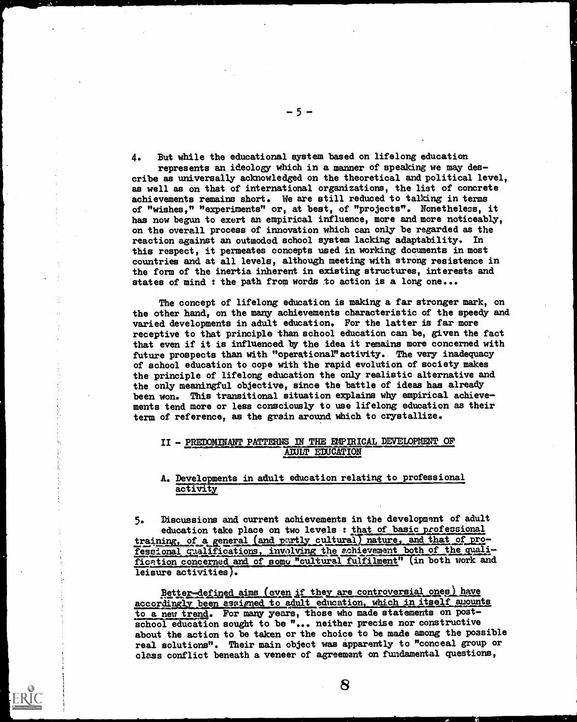4. But while the educational system based on lifelong education

represents an ideology which in a manner of speaking we may des cribe as universally acknowledged on the theoretical and political level, as well as on that of international organizations, the list of concrete achievements remains short. We are still reduced to talking in terms of "wishes," "experiments" or, at best, of "projects". Nonetheless, it has now begun to exert an empirical influence, more and more noticeably, on the overall process of innovation which can only be regarded as the reaction against an outmoded school system lacking adaptability. In this respect, it permeates concepts used in working documents in most countries and at all levels, although meeting with strong resistence in the form of the inertia inherent in existing structures, interests and states of mind : the path from words to action is a long one...

The concept of lifelong education is making a far stronger mark, on the other hand, on the many achievements characteristic of the speedy and varied developments in adult education. For the latter is far more receptive to that principle than school education can be, given the fact that even if it is influenced by the idea it remains more concerned with future prospects than with "operational" activity. The very inadequacy of school education to cope with the rapid evolution of society makes the principle of lifelong education the only realistic alternative and the only meaningful objective, since the battle of ideas has already been won. This transitional situation explains why empirical achieve ments tend more or less consciously to use lifelong education as their term of reference, as the grain around which to crystallize.

#### II - PREDOMINANT PATTERNS IN THE EMPIRICAL DEVELOPMENT OF AIULT EDUCATION

# A. Developments in adult education relating to professional activity

5. Discussions and current achievements in the development of adult education take place on two levels : that of basic professional training, of a general (and partly cultural) nature, and that of profesgional qualifications, involving the achievement both of the qualification concerned and of some "cultural fulfilment" (in both work and leisure activities).

Better-defined aims (even if they are controversial ones) have accordingly been assigned to adult education, which in itself amounts to a new trend. For many years, those who made statements on postschool education sought to be "... neither precise nor constructive about the action to be taken or the choice to be made among the possible real solutions". Their main object was apparently to "conceal group or class conflict beneath a veneer of agreement on fundamental questions,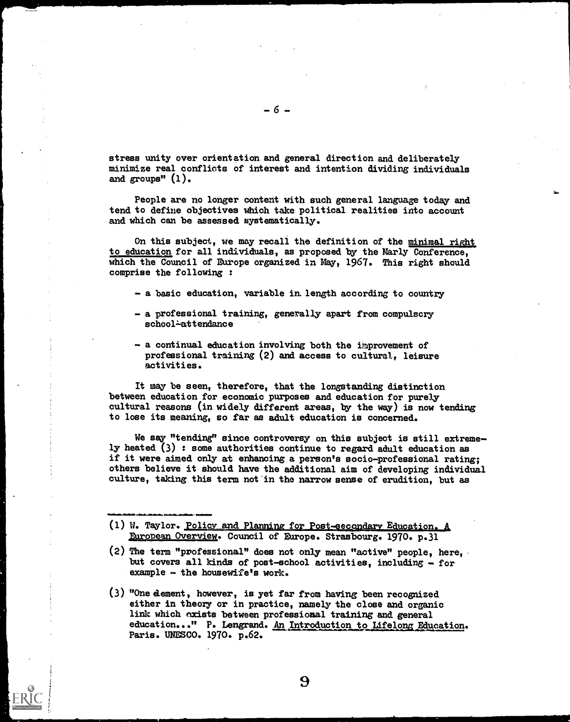stress unity over orientation and general direction and deliberately minimize real conflicts of interest and intention dividing individuals and groups" (1).

People are no longer content with such general language today and tend to define objectives which take political realities into account and which can be assessed systematically.

On this subject, we may recall the definition of the minimal right to education for all individuals, as proposed by the Marly Conference, which the Council of Europe organized in May, 1967. This right should comprise the following :

- a basic education, variable in length according to country
- a professional training, generally apart from compulscry school-attendance
- a continual education involving both the improvement of professional training (2) and access to cultural, leisure activities.

It may be seen, therefore, that the longstanding distinction between education for economic purposes and education for purely cultural reasons (in widely different areas, by the way) is now tending to lose its meaning, so far as adult education is concerned.

We say "tending" since controversy on this subject is still extremely heated (3) : some authorities continue to regard adult education as if it were aimed only at enhancing a person's socio-professional rating; others believe it should have the additional aim of developing individual culture, taking this term not in the narrow sense of erudition, but as

- (1) W. Taylor. Policy and Planning for Post-secondary Education. A European Overview. Council of Europe. Strasbourg. 1970. p.31
- (2) The term "professional" does not only mean "active" people, here, but covers all kinds of post-school activities, including - for example - the housewife's work.
- (3) "One dement, however, is yet far from having been recognized either in theory or in practice, namely the close and organic link which exists between professional training and general education..." P. Lengrand. An Introduction to Lifelong Education. Paris. UNESCO. 1970. p.62.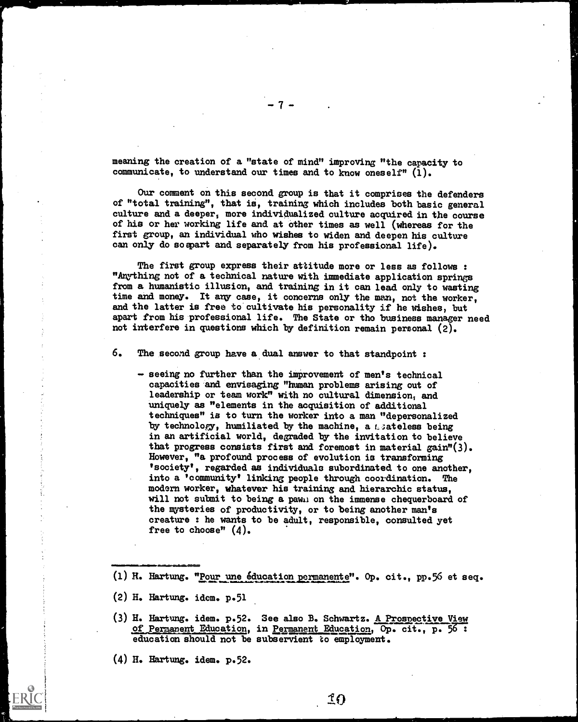meaning the creation of a "state of mind" improving "the capacity to communicate, to understand our times and to know oneself"  $(1)$ .

 $-7 - 1$ 

Our comment on this second group is that it comprises the defenders of "total training", that is, training which includes both basic general culture and a deeper, more individualized culture acquired in the course of his or her working life and at other times as well (whereas for the first group, an individual who wishes to widen and deepen his culture can only do soapart and separately from his professional life).

The first group express their attitude more or less as follows : "Any-thing not of a technical nature with immediate application springs from a humanistic illusion, and training in it can lead only to wasting time and money. It any case, it concerns only the man, not the worker, and the latter is free to cultivate his personality if he wishes, but apart from his professional life. The State or tho business manager need not interfere in questions which by definition remain personal (2).

6. The second group have a dual answer to that standpoint :

- seeing no further than the improvement of men's technical capacities and envisaging "human problems arising out of leadership or team work" with no cultural dimension, and uniquely as "elements in the acquisition of additional techniques" is to turn the worker into a man "depersonalized by technology, humiliated by the machine, a Leateless being in an artificial world, degraded by the invitation to believe that progress consists first and foremost in material gain"(3). However, "a profound process of evolution is transforming 'society', regarded as individuals subordinated to one another, into a 'community' linking people through coordination. The modern worker, whatever his training and hierarchic status, will not submit to being a pawn on the immense chequerboard of the mysteries of productivity, or to being another man's creature : he wants to be adult, responsible, consulted yet free to choose"  $(4)$ .
- (1) H. Hartung. "Pour une éducation permanente". Op. cit., pp.56 et seq.
- $(2)$  H. Hartung. idem. p. 51

.11=1.11111

- (3) H. Hartung. idem. p.52. See also B. Schwartz. A Prospective View of Permanent Education, in Permanent Education, Op. cit., p. education should not be subservient to employment.
- (4) H. Hartung. idem. p.52.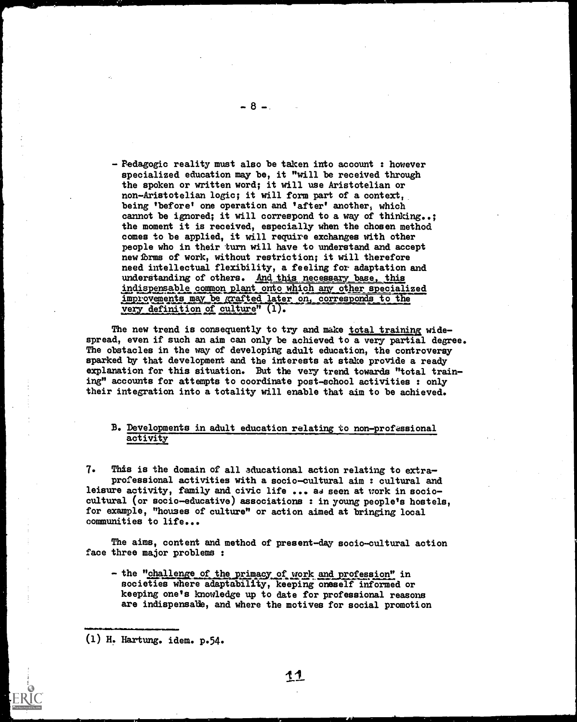- Pedagogic reality must also be taken into account : however specialized education may be, it "will be received through the spoken or written word; it will use Aristotelian or non-Aristotelian logic; it will form part of a context, being 'before' one operation and 'after' another, which cannot be ignored; it will correspond to a way of thinking..; the moment it is received, especially when the chosen method comes to be applied, it will require exchanges with other people who in their turn will have to understand and accept new forms of work, without restriction; it will therefore need intellectual flexibility, a feeling for adaptation and understanding of others. And this necessary base, this indispensable common plant onto which any other specialized improvements may be grafted later on, corresponds to the very definition of culture" (1).

The new trend is consequently to try and make total training widespread, even if such an aim can only be achieved to a very partial degree. The obstacles in the way of developing adult education, the controversy sparked by that development and the interests at stake provide a ready explanation for this situation. But the very trend towards "total training" accounts for attempts to coordinate post-school activities : only their integration into a totality will enable that aim to be achieved.

## B. Developments in adult education relating to non-professional activity

7. This is the domain of all aducational action relating to extraprofessional activities with a socio-cultural aim : cultural and leisure activity, family and civic life  $\ldots$  as seen at work in sociocultural (or socio-educative) associations : in young people's hostels, for example, "houses of culture" or action aimed at bringing local communities to life...

The aims, content and method of present-day socio-cultural action face three major problems :

- the "challenge of the primacy of work and profession" in societies where adaptability, keeping oneself informed or keeping one's knowledge up to date for professional reasons are indispensable, and where the motives for social promotion

(1) H. Hartung. idem. p.54.

111.1111160111111

- 8 –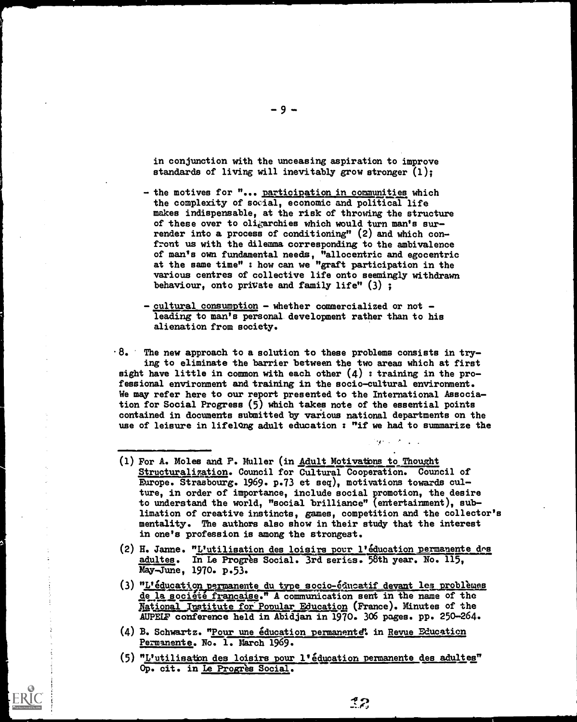in conjunction with the unceasing aspiration to improve standards of living will inevitably grow stronger  $(1)$ ;

- the motives for "... participation in communities which the complexity of social, economic and political life makes indispensable, at the risk of throwing the structure of these over to oligarchies which would turn man's surrender into a process of conditioning" (2) and which confront us with the dilemma corresponding to the ambivalence of man's own fundamental needs, "allocentric and egocentric at the same time" : how can we "graft participation in the various centres of collective life onto seemingly withdrawn behaviour, onto private and family life" (3) ;
- $-$  cultural consumption  $-$  whether commercialized or not  $$ leading to man's personal development rather than to his alienation from society.

 $\cdot 8.$  The new approach to a solution to these problems consists in trying to eliminate the barrier between the two areas which at first sight have little in common with each other  $(4)$  : training in the professional environment and training in the socio-cultural environment. We may refer here to our report presented to the International Association for Social Progress (5) which takes note of the essential points contained in documents submitted by various national departments on the use of leisure in lifelong adult education : "if we had to summarize the

- (1) For A. Moles and F. Muller (in Adult Motivatbns to Thought Structuralization. Council for Cultural Cooperation. Council of Europe. Strasbourg. 1969. p.73 et seq), motivations towards culture, in order of importance, include social promotion, the desire to understand the world, "social brilliance" (entertainment), sublimation of creative instincts, games, competition and the collector's mentality. The authors also show in their study that the interest in one's profession is among the strongest.
- (2) H. Janne. "L'utilisation des loisirs pour l'education permanente dns adultes. In Le Progrès Social. 3rd series. 58th year. No. 115, May-June, 1970. p.53.
- (3) "L'éducation permanente du type socio-éducatif devant les problèmes de la societé francaise." A communication sent in the name of the Rational Institute for Popular Education (France). Minutes of the AUPELF conference held in Abidjan in 1970. 306 pages. pp. 250-264.
- (4) B. Schwartz. "Pour une éducation permanente". in Revue Education Permanente. No. 1. March 1969.
- (5) "L'utilisatbn des loisirs pour l'education permanente des adultes" Op. cit. in Le Progrès Social.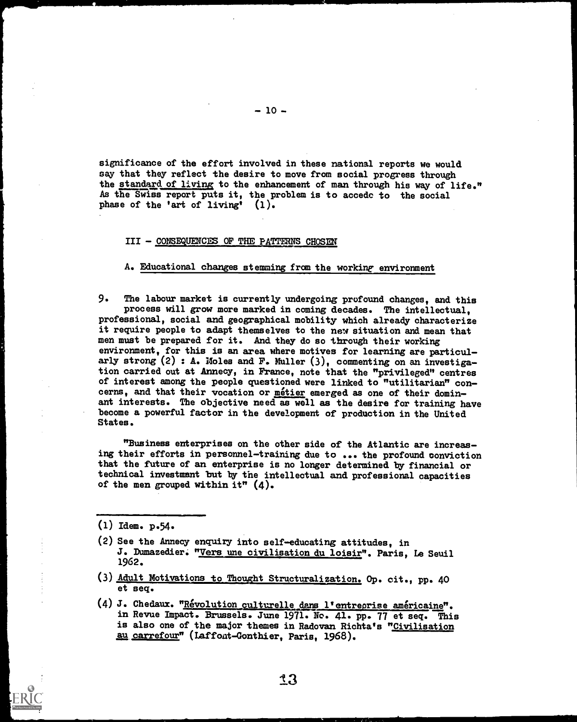significance of the effort involved in these national reports we would say that they reflect the desire to move from social progress through the standard of living to the enhancement of man through his way of life." As the Swiss report puts it, the problem is to accede to the social phase of the 'art of living' (1).

#### III - CONSEQUENCES OF THE PATTERNS CHOSEN

A. Educational changes stemming from the working environment

9. The labour market is currently undergoing profound changes, and this process will grow more marked in coming decades. The intellectual, professional, social and geographical mobility which already characterize it require people to adapt themselves to the new situation and mean that men must be prepared for it. And they do so through their working environment, for this is an area where motives for learning are particularly strong  $(2)$ : A. Moles and F. Muller  $(3)$ , commenting on an investigation carried out at Annecy, in France, note that the "privileged" centres of interest among the people questioned were linked to "utilitarian" concerns, and that their vocation or metier emerged as one of their dominant interests. The objective need as well as the desire for training have become a powerful factor in the development of production in the United States.

"Business enterprises on the other side of the Atlantic are increasing their efforts in personnel-training due to ... the profound conviction that the future of an enterprise is no longer determined by financial or technical investment but by the intellectual and professional capacities of the men grouped within it"  $(4)$ .

(1) Idem. p.54.

- (2) See the Annecy enquiry into self-educating attitudes, in J. Dumazedier. "Vers une civilisation du loisir". Paris, Le Seuil 1962.
- (3) Adult Motivations to Thought Structuralization. Op. cit., pp. 40 et seq.
- (4) J. Chedaux. "Révolution culturelle dans l'entreprise américaine". in Revue Impact. Brussels. June 1971. Ne. 41. pp. 77 et seq. This is also one of the major themes in Radovan Richta's "Civilisation au carrefour" (Laffont-Gonthier, Paris, 1968).

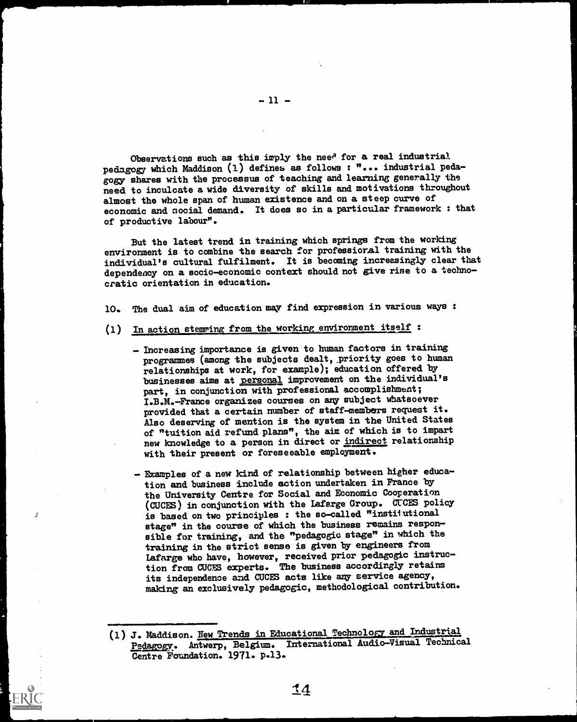Observations such as this imply the need for a real industrial pedagogy which Maddison (1) defines as follows: "... industrial pedagogy- shares with the processus of teaching and learning generally the need. to inculcate a wide diversity of skills and motivations throughout almost the whole span of human existence and on a steep curve of economic and social demand. It does so in a particular framework : that of productive labour".

But the latest trend in training which springs from the working environment is to combine the search for professioral training with the individual's cultural fulfilment. It is becoming increasingly clear that dependency on a socio-economic context should not give rise to a technocratic orientation in education.

10. The dual aim of education may find expression in various ways :

- (1) In action stemming from the working environment itself :
	- Increasing importance is given to human factors in training programmes (among the subjects dealt, priority goes to human relationships at work, for example); education offered by businesses aims at personal improvement on the individual's part, in conjunction with professional accomplishment; I.B.M.-France organizes courses on any subject whatsoever provided that a certain number of staff-members request it. Also deserving of mention is the system in the United States of "tuition aid refund plans", the aim of which is to impart new knowledge to a person in direct or indirect relationship with their present or foreseeable employment.
	- Examples of a new kind of relationship between higher education and business include action undertaken in France by the University Centre for Social and Economic Cooperation (CUCES) in conjunction with the Lafarge Group. CUCES policy is based on two principles: the so-called "institutional stage" in the course of which the business remains responsible for training, and the "pedagogic stage" in which the training in the strict sense is given by engineers from Lafarge who have, however, received prior pedagogic instruction from CUCS experts. The business accordingly retains its independence and CUCES acts like any service agency, making an exclusively pedagogic, methodological contribution.

ين

<sup>(1)</sup> J. Maddison. New Trends in Educational Technology and Industrial Pedagogy. Antwerp, Belgium. International Audio-Visual Technical Centre Foundation. 1971. p.13.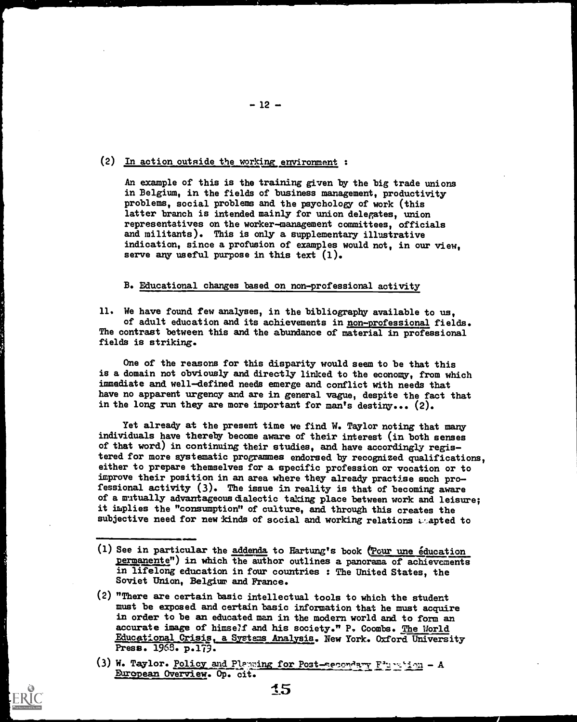(2) In action outside the working environment :

An example of this is the training given by the big trade unions in Belgium, in the fields of business management, productivity problems, social problems and the psychology of work (this latter branch is intended mainly for union delegates, union representatives on the worker-management committees, officials and militants). This is only a supplementary illustrative indication, since a profusion of examples would not, in our view, serve any useful purpose in this text  $(1)$ .

#### B. Educational changes based on non-professional activity

11. We have found few analyses, in the bibliography available to us, of adult education and its achievements in non-professional fields. The contrast between this and the abundance of material in professional fields is striking.

One of the reasons for this disparity would seem to be that this is a domain not obviously and directly linked to the economy, from which immediate and well-defined needs emerge and conflict with needs that have no apparent urgency and are in general vague, despite the fact that in the long run they are more important for man's destiny... (2).

Yet already at the present time we find W. Taylor noting that many individuals have thereby become aware of their interest (in both senses of that word) in continuing their studies, and have accordingly registered for more systematic programmes endorsed by recognized qualifications, either to prepare themselves for a specific profession or vocation or to improve their position in an area where they already practise such professional activity (3). The issue in reality is that of becoming aware of a mutually advantageous dialectic taking place between work and leisure; it implies the "consumption" of culture, and through this creates the subjective need for new kinds of social and working relations  $\epsilon$  apted to

(1) See in particular the addenda to Hartung's book (Pour une education permanente") in which the author outlines a panorama of achievements in lifelong education in four countries : The United States, the Soviet Union, Belgium and France.

.1

- (2) "There are certain basic intellectual tools to which the student must be exposed and certain basic information that he must acquire in order to be an educated man in the modern world and to form an accurate image of himself and his society." P. Coombs. The World Educational Crisis, a Systems Analysis. New York. Oxford University Press. 1968. p.179.
- (3) W. Taylor. Policy and Planning for Post-secondary  $F^*$   $\sim$  is  $\sim$  1 European Overview. Op. cit.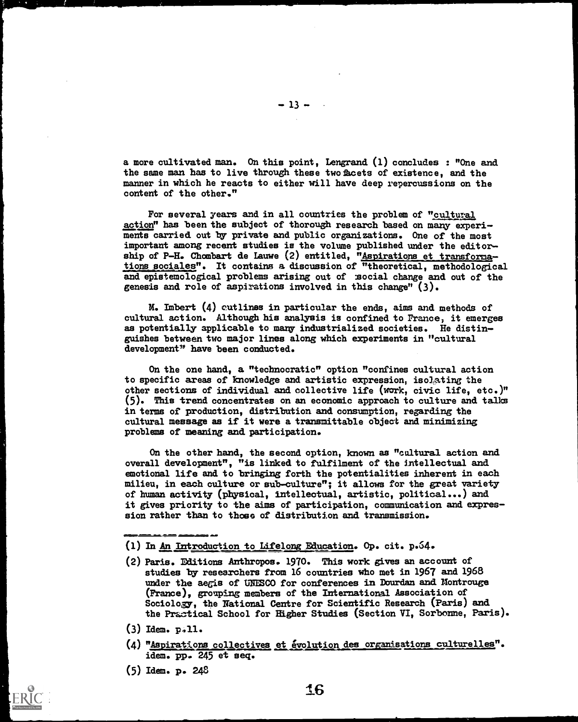a more cultivated man. On this point, Lengrand (1) concludes : "One and the same man has to live through these two facets of existence, and the manner in which he reacts to either will have deep repercussions on the content of the other."

 $-13 -$ 

For several years and in all countries the problem of "cultural action" has been the subject of thorough research based on many experiments carried out by private and public organizations. One of the most important among recent studies is the volume published under the editor ship of P-H. Chombart de Lauwe (2) entitled, "Aspirations et transformations sociales". It contains a discussion of "theoretical, methodological and epistemological problems arising out of social change and out of the genesis and role of aspitations involved in this change" (3).

M. Imbert (4) outlines in particular the ends, aims and methods of cultural action. Although his analysis is confined to France, it emerges as potentially applicable to many industrialized societies. He distin guishes between two major lines along which experiments in "cultural development" have been conducted.

On the one hand, a "technocratic" option "confines cultural action to specific areas of knowledge and artistic expression, isolating the other sections of individual and collective life (work, civic life, etc.)" (5). This trend concentrates on an economic approach to culture and talks in terms of production, distribution and consumption, regarding the cultural message as if it were a transmittable object and minimizing problems of meaning and participation.

On the other hand, the second option, known as "cultural action and overall development", "is linked to fulfilment of the intellectual and emotional life and to bringing forth the potentialities inherent in each milieu, in each culture or sub-culture"; it allows for the great variety of human activity (physical, intellectual, artistic, political...) and it gives priority to the aims of participation, communication and expres sion rather than to those of distribution and transmission.

- (1) In An Introduction to Lifelong Education. Op. cit. p.64.
- (2) Paris. Editions Anthropos. 1970. This work gives an account of studies by researchers from 16 countries who met in 1967 and 1968 under the aegis of UNESCO for conferences in Dourdan and Montrouge (France), grouping members of the International Association of Sociology, the National Centre for Scientific Research (Paris) and the Practical School for Higher Studies (Section VI, Sorbonne, Paris).
- $(3)$  Idem.  $p.11.$
- (4) "Aspirations collectives et évolution des organisations culturelles". idem. pp. 245 et seq.
- (5) Idem. p. 248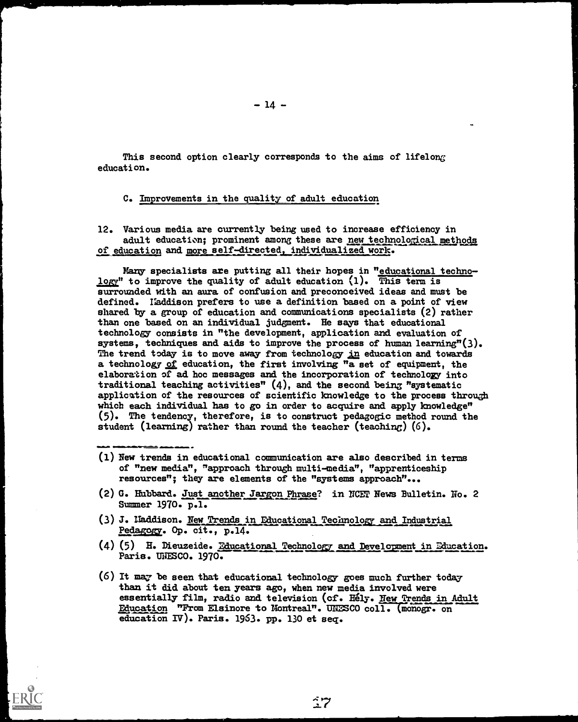This second option clearly corresponds to the aims of lifelong education.

## C. Improvements in the quality of adult education

12. Various media are currently being used to increase efficiency in adult education; prominent among these are new technological methods of education and more self-directed, individualized work.

Many specialists are putting all their hopes in "educational technology" to improve the quality of adult education  $(1)$ . This term is surrounded with an aura of confusion and preconceived ideas and must be defined. Ifaddison prefers to use a definition based on a point of view shared by a group of education and communications specialists (2) rather than one based on an individual judgment. He says that educational technology consists in "the development, application and evaluation of systems, techniques and aids to improve the process of human learning" $(3)$ . The trend today is to move away from technology in education and towards a technology of education, the first involving "a set of equipment, the elaboration of ad hoc messages and the incorporation of technology into traditional teaching activities"  $(4)$ , and the second being "systematic application of the resources of scientific knowledge to the process through which each individual has to go in order to acquire and apply knowledge" (5). The tendency, therefore, is to construct pedagogic method round the student (learning) rather than round the teacher (teaching)  $(6)$ .

- (1) New trends in educational communication are also described in terms of "new media", "approach through multi-media", "apprenticeship resources"; they are elements of the "systems approach"...
- (2) G. Hubbard. Just another Jargon Phrase? in NCET News Bulletin. No. 2 Summer 1970. p.l.
- (3) J. Haddison. New Trends in Educational Technology and Industrial Pedagogy. Op. cit., p.14.
- (4) (5) H. Dieuzeide. Educational Technology and Development in Education. Paris. UNESCO. 1970.
- (6) It may be seen that educational technology goes much further today than it did about ten years ago, when new media involved were essentially film, radio and television (cf. Hely. New Trends in Adult Education "From Elsinore to Montreal". UNESCO coll. (monogr. on education IT). Paris. 1963. pp. 130 et seq.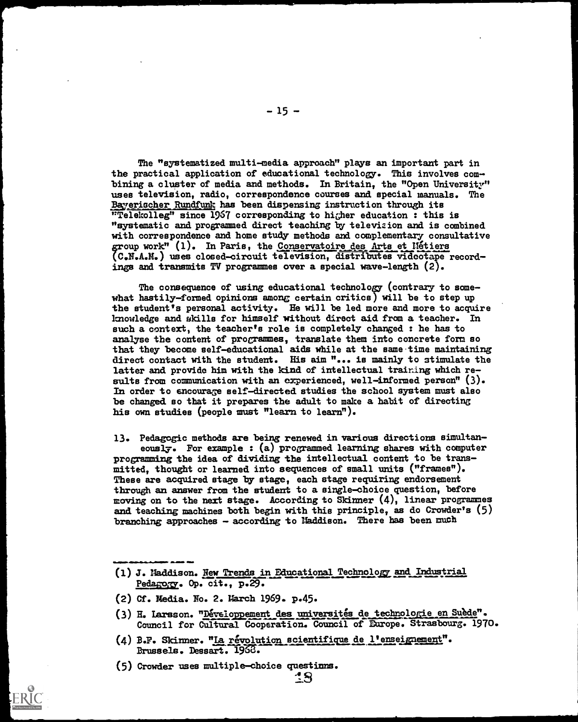The "systematized multi-media approach" plays an important part in the practical application of educational technology. This involves combining a cluster of media and methods. In Britain, the "Open University" uses television, radio, correspondence courses and special manuals. The Bayerischer Rundfunk has been dispensing instruction through its "Telekolleg" since 1967 corresponding to higher education : this is "systematic and programmed direct teaching by televizion and is combined with correspondence and home study methods and complementary consultative group work" (1). In Paris, the Conservatoire des Arts et Nétiers (C.N.A.M.) uses closed-circuit television, distributes videotape recordings and transmits TV programmes over a special wave-length (2).

-15-

The consequence of using educational technology (contrary to somewhat hastily-formed opinions among certain critics) will be to step up the student's personal activity. He will be led more and more to acquire knowledge and skills for himself without direct aid from a teacher. In such a context, the teacher's role is completely changed : he has to analyse the content of programmes, translate them into concrete form so that they become self-educational aids while at the same-time maintaining direct contact with the student. His aim "... is mainly to stimulate the latter and provide him with the kind of intellectual trairing which results from communication with an experienced, well-informed person" (3). In order to encourage self-directed. studies the school system must also be changed so that it prepares the adult to make a habit of directing his own studies (people must "learn to learn").

13. Pedagogic methods are being renewed in various directions simultaneously. For example : (a) programmed learning shares with computer programming the idea of dividing the intellectual content to be transmitted, thought or learned into sequences of small units ("frames"). These are acquired stage by stage, each stage requiring endorsement through an answer from the student to a single-choice question, before moving on to the next stage. According to Skinner (4), linear programmes and teaching machines both begin with this principle, as do Crowder's (5) branching approaches - according to Maddison. There has been much

- (1) J. Maddison. hew Trends in Educational Technology and Industrial Pedagozy. Op. cit., p.29.
- (2) Cf. Media. No. 2. March 1969. p.45.

MINIMINNII.111110

- (3) H. Larsson. "Développement des universités de technologie en Suède". Council for Cultural Cooperation. Council of Europe. Strasbourg. 1970.
- $(4)$  B.F. Skinner. "La révolution scientifique de l'enseignement". Brussels. Dessart. 1968.

(5) Crowder uses multiple-choice questinns.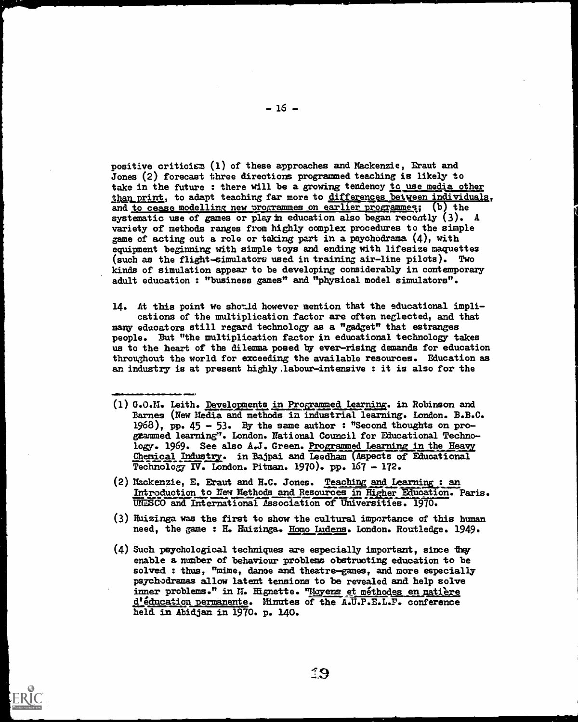positive critician (1) of these approaches and Mackenzie, Eraut and Jones (2) forecast three directions programmed teaching is likely to take in the future : there will be a growing tendency to use media other than print, to adapt teaching far more to differences between individuals, and to cease modelling new programmes on earlier programmes; (b) the systematic use of games or play in education also began recently  $(3)$ . A variety of methods ranges from highly complex procedures to the simple game of acting out a role or taking part in a psychodrama  $(4)$ , with equipment beginning with simple toys and ending with lifesize maquettes (such as the flight-simulators used in training air-line pilots). Two kinds of simulation appear to be developing considerably in contemporary adult education : "business games" and "physical model simulators".

14. At this point we should however mention that the educational impli-<br>cations of the multiplication factor are often neglected, and that<br>many educators still regard technology as a "gadget" that estranges<br>people. But "th throughout the world for exceeding the available resources. Education as an industry is at present highly labour-intensive : it is also for the

(1) G.O.M. Leith. Developments in Programmed Learning. in Robinson and Barnes (New Media and methods in industrial learning. London. B.B.C. 1963), pp. 45 - 53. By the same author : "Second thoughts on pro-<br>grammed learning". London. National Council for Educational Technology. 1969. See also A.J. Green. Programmed Learning in the Heavy Chemical Industry. in Bajpai and Leedham (Aspects of Educational Technology IV. London. Pitman. 1970). pp. 167 - 172.

**-1** 

- (2) Mackenzie, E. Eraut and H.C. Jones. Teaching and Learning: an Introduction to New Methods and Resources in Higher Education. Paris.<br>UNESCO and International Association of Universities. 1970.
- (3) Huizinga was the first to show the cultural importance of this human need, the game : H. Huizinga. Homo Ludens. London. Routledge. 1949.
- (4) Such psychological techniques are especially important, since they enable a number of behaviour problems obstructing education to be solved : thus, "mime, danoe and theatre-games, and more especially psychodramas allow latent tensions to be revealed and help solve inner problems." in M. Hignette. "Loyens et méthodes en matière d'éducation permanente. Minutes of the A.U.P.E.L.P. conference held. in Abidjan in 1970. p. 140.

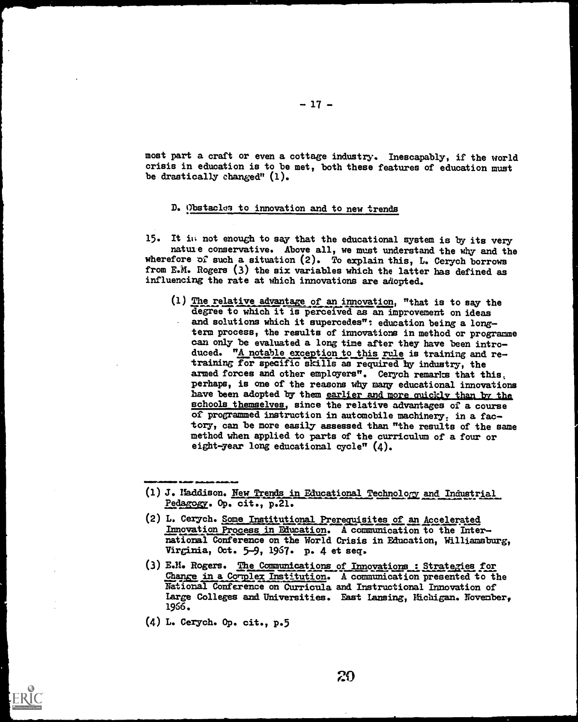most part a craft or even a cottage industry. Inescapably, if the world crisis in education is to be met, both these features of education must be drastically changed" (1).

# D. Obstacles to innovation and to new trends

15. It is not enough to say that the educational system is by its very nature conservative. Above all, we must understand the why and the wherefore of such a situation (2). To explain this, L. Cerych borrows from E.M. Rogers (3) the six variables which the latter has defined as influencing the rate at which innovations are adopted.

 $(1)$  The relative advantage of an innovation, "that is to say the degree to which it is perceived as an improvement on ideas and solutions which it supercedes": education being a longterm process, the results of innovations in method or programme can only be evaluated a long time after they have been intro duced. "A notable exception to this rule is training and retraining for specific skills as required by industry, the armed forces and other employers". Cerych remarks that this, perhaps, is one of the reasons why many educational innovations have been adopted by them earlier and more quickly than by the schools themselves, since the relative advantages of a course of programmed instruction in automobile machinery: in a fac tory, can be more easily assessed than "the results of the same method when applied to parts of the curriculum of a four or eight-year long educational cycle"  $(4)$ .

- (2) L. Cerych. Some Institutional Prerequisites of an Accelerated Innovation Process in Education. A communication to the Inter national Conference on the World Crisis in Education, Williamsburg, Virginia, Oct. 5-9, 1967. p. 4 et seq.
- E.M. Rogers. The Communications of Innovations: Strategies for Change in a Corplex Institution. A communication presented to the National Conference on Curricula and Instructional Innovation of Large Colleges and Universities. East Lansing, Hichigan. November, 1956.
- L. Cerych. Op. cit., p.5



smil.<br>1111 - Johann Carlo Balden, Abdular<br>1111 - Minister Carlo Balden, Amerikaansk konstantinopolis

<sup>(1)</sup> J. Haddison. New Trends in Educational Technology and Industrial Pedagogy. Op. cit., p.21.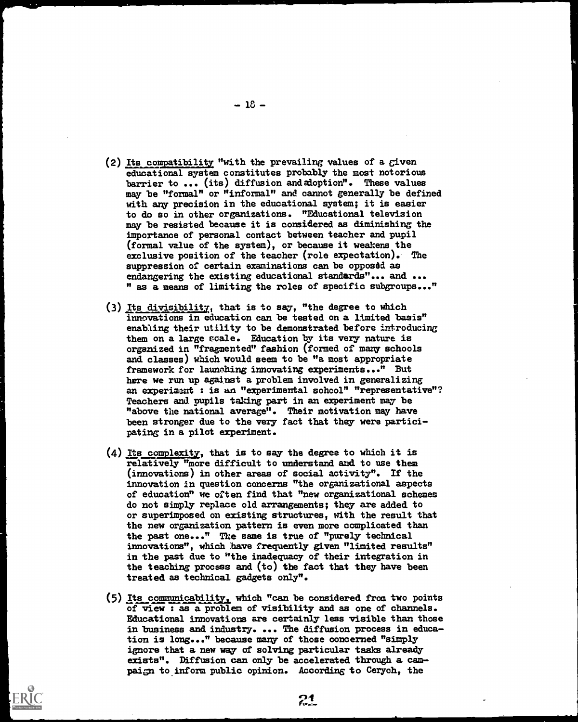- (2) Its compatibility "with the prevailing values of a given educational system constitutes probably the most notorious barrier to ... (its) diffusion and adoption". These values may be "formal" or "informal" and cannot generally be defined with any precision in the educational system; it is easier to do so in other organizations. "Educational television may be resisted because it is considered as diminishing the importance of personal contact between teacher and pupil (formal value of the system), or because it weakens the exclusive position of the teacher (role expectation). The suppression of certain examinations can be opposed as endangering the existing educational standards"... and ... " as a means of limiting the roles of specific subgroups..."
- (3) Its divisibility, that is to say, "the degree to which innovations in education can be tested on a limited basis" enabling their utility to be demonstrated before introducing them on a large scale. Education by its very nature is organized in "fragmented' fashion (formed of many schools and classes) which would seem to be "a most appropriate framework for launching innovating experiments..." But here we run up against a problem involved in generalizing an experimant : is an "experimental school" "representative"? Teachers and pupils taking part in an experiment may be "above the national average". Their motivation may have been stronger due to the very fact that they were partici pating in a pilot experiment.
- (4) Its complexity, that is to say the degree to which it is relatively "more difficult to understand and to use them (innovations) in other areas of social activity". If the innovation in question concerns "the organizational aspects of education" we often find that "new organizational schemes do not simply replace old arrangements; they are added. to or superimposed on existing structures, with the result that the new organization pattern is even more complicated than the past one..." The same is true of "purely technical innovations", which have frequently given "limited results" in the past due to "the inadequacy of their integration in the teaching process and (to) the fact that they have been treated as technical gadgets only".
- (5) Its communicability, which "can be considered from two points of view : as a problem of visibility and as one of channels. Educational innovations are certainly less visible than those in business and industry. ... The diffusion process in education is long..." because many of those concerned "simply ignore that a new way of solving particular tasks already exists". Diffusion can only be accelerated through a cam paign to inform public opinion. According to Cerych, the

 $-18 -$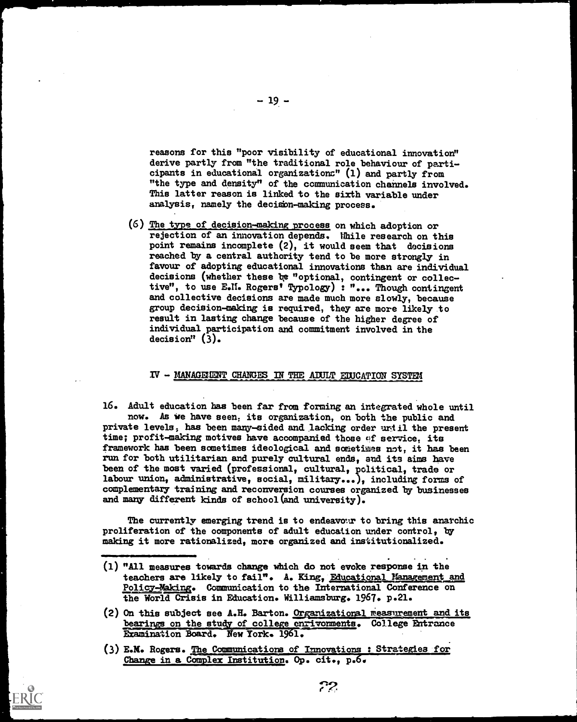reasons for this "poor visibility of educational innovation" derive partly from "the traditional role behaviour of participants in educational organizations" (1) and partly from "the type and density" of the communication channels involved. This latter reason is linked to the sixth variable under analysis, namely the decisbn-making process.

(6) The type of decision-making process on which adoption or rejection of an innovation depends. While research on this point remains incomplete (2), it would seem that decisions reached by a central authority tend to be more strongly in favour of adopting educational innovations than are individual decisions (whether these be "optional, contingent or collective", to use E.N. Rogers' Typology) : "... Though contingent and collective decisions are made much more slowly, because group decision-making is required, they are more likely to result in lasting change because of the higher degree of individual participation and commitment involved in the decision" (3).

#### $IV$  - MANAGEMENT CHANGES IN THE ADULT EDUCATION SYSTEM

16. Adult education has been far from forming an integrated whole until now. As we have seen, its organization, on both the public and private levels, has been many-sided and lacking order urtil the present time; profit-making motives have accompanied those of service, its framework has been sometimes ideological and sometimes not, it has been run for both utilitarian and purely cultural ends, and its aims have been of the most varied (professional, cultural, political, trade or labour union, administrative, social, military...), including forms of complementary training and reconversion courses organized by businesses and many different kinds of school (and university).

The currently emerging trend is to endeavour to bring this anarchic proliferation of the oomponents of adult education under control, by making it more rationalized, more organized and institutionalized.

- (1) "All measures towards change which do not evoke response in the teachers are likely to fail". A. King, Educational Management and Policy-Wsing. Communication to the International Conference on the World Crisis in Education. Williamsburg. 1967. p.21.
- (2) On this subject see A.H. Barton. Organizational measurement and its bearings on the study of college enrivonments. College Entrance Examination Board. New York. 1961.
- (3) E.M. Rogers. The Communications of Innovations : Strategies for Change in a Complex Institution. Op. cit., p.6.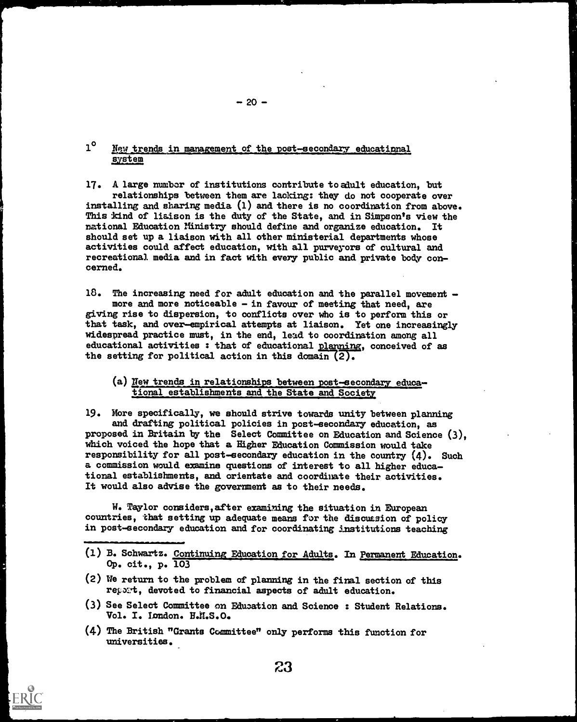# 1<sup>°</sup> New trends in management of the post-secondary educational system

17. A large number of institutions contribute to adult education, but relationships between them are lacking: they do not cooperate over installing and sharing media (1) and there is no coordination from above. This kind of liaison is the duty of the State, and in Simpson's view the rational Education Ministry should define and organize education. It should set up a liaison with all other ministerial departments whose activities could affect education, with all purveyors of cultural and recreational media and in fact with every public and private body concerned.

 $18.$  The increasing need for adult education and the parallel movement  $$ more and more noticeable - in favour of meeting that need, are giving rise to dispersion, to conflicts over who is to perform this or that task, and over-empirical attempts at liaison. Yet one increasingly widespread practice must, in the end, lead to coordination among all educational activities : that of educational planning, conceived of as the setting for political action in this domain (2).

## (a) New trends in relationships between post-secondary educational establishments and the State and Society

19. More specifically, we should strive towards unity between planning and drafting political policies in post-secondary education, as proposed in Britain by the Select Committee on Education and Science (3), which voiced the hope that a Higher Education Commission would take responsibility for all post-secondary education in the country (4). Such a commission would examine questions of interest to all higher educational establishments, and orientate and coordinate their activities. It would also advise the government as to their needs.

W. Taylor considers,after examining the situation in European countries, that setting up adequate means for the discuasion of policy in post-secondary education and for coordinating institutions teaching

- (1) B. Schwartz. Continuing Education for Adults. In Permanent Education. Op. cit., p. 103
- (2) tie return to the problem of planning in the final section of this repoat, devoted to financial aspects of adult education.
- (3) See Select Committee on Education and Science : Student Relations. Vol. I. Iondon. H.M.S.O.
- (4) The British "Grants Committee" only performs this function for universities.



 $- 20 -$ 

23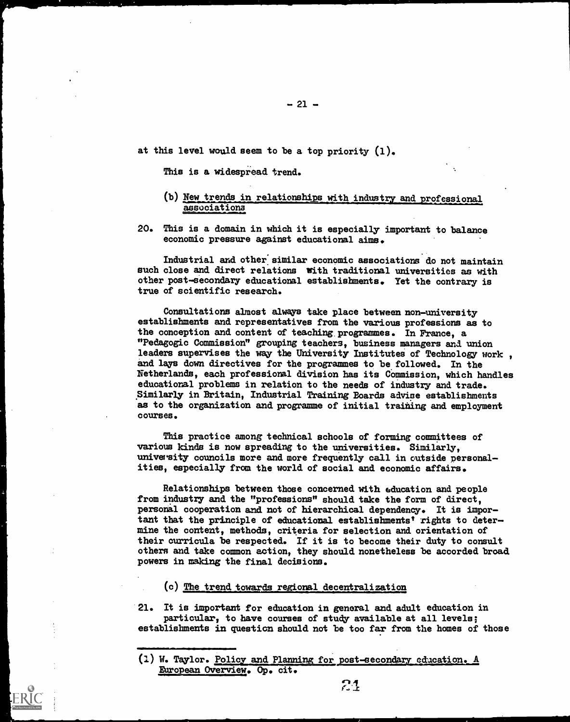at this level would seem to be a top priority (1),

This is a widespread trend.

- (b) New trends in relationships with industry and professional associations
- 20. This is a domain in which it is especially important to balance economic pressure against educational aims.

Industrial and other similar economic associations do not maintain such close and direct relations with traditional universities as with other post-secondary educational establishments. Yet the contrary is true of scientific research.

Consultations almost always take place between non-university establishments and representatives from the various professions as to the conception and content of teaching programmes. In France, a "Pedagogic Commission" grouping teachers, business managers and. union leaders supervises the way the University Institutes of Technology work. and lays down directives for the programmes to be followed. In the Netherlands, each professional division has its Commission, which handles educational problems in relation to the needs of industry and trade. Similarly in Britain, Industrial Training Boards advise establishments as to the organization and programme of initial training and employment courses.

This practice among technical schools of forming committees of various kinds is now spreading to the universities. Similarly, university councils more and more frequently call in outside personalities, especially from the world of social and economic affairs.

Relationships between those concerned with education and people from industry and the "professions" should take the form of direct, personal cooperation and not of hierarchical dependency. It is important that the principle of educational establishments' rights to determine the content, methods, criteria for selection and orientation of their curricula be respected. If it is to become their duty to consult others and take common action, they should nonetheless be accorded broad powers in making the final decisions.

#### (c) The trend towards regional decentralization

21. It is important for education in general and adult education in particular, to have courses of study available at all levels; establishments in question should not be too far from the homes of those

<sup>(1)</sup> W. Taylor. Policy and Planning for post-secondary education. A European Overview. Op. cit.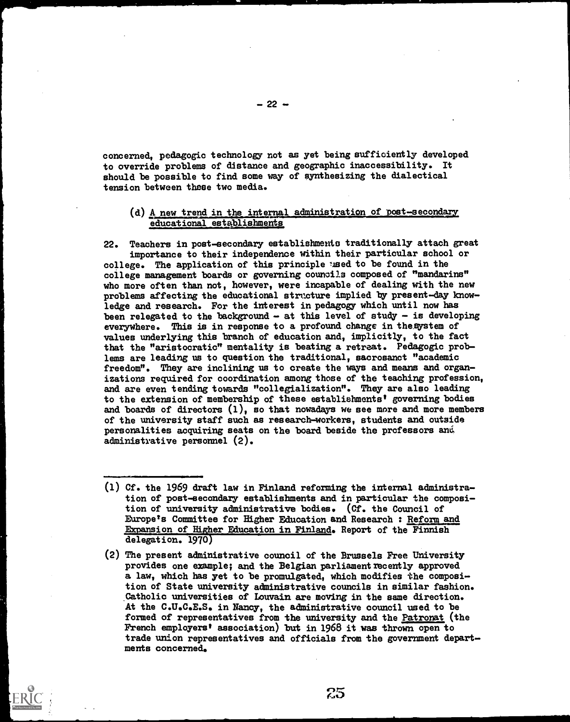concerned, pedagogic technology not as yet being sufficiently developed to override problems of distance and geographic inaccessibility. It should be possible to find some way of synthesizing the dialectical tension between these two media.

#### (d) A new trend in the internal administration of post-secondary educational establishments

22. Teachers in post-secondary establishmeuto traditionally attach great importance to their independence within their particular school or college. The application of this principle tised to be found in the college management boards or governing councils composed of "mandarins" who more often than not, however, were incapable of dealing with the new problems affecting the educational structure implied by present-day knowledge and research. For the interest in pedagogy which until now has been relegated to the background  $-$  at this level of study  $-$  is developing everywhere. This is in response to a profound change in thesystem of values underlying this branch of education and, implicitly, to the fact that the "aristocratic" mentality is beating a retreat. Pedagogic problems are leading us to question the traditional, sacrosanct "academic freedom". They are inclining us to create the ways and means and organizations required for coordination among those of the teaching profession, and are even tending towards "collegialization". They are also leading to the extension of membership of these establishments' governing bodies and boards of directors  $(1)$ , so that nowadays we see more and more members of the university staff such as research-workers, students and outside personalities acquiring seats on the board beside the professors and administrative personnel (2).

 $25$ 

<sup>(1)</sup> Cf. the 1969 draft law in Finland reforming the internal administration of post-secondary establishments and in particular the composition of university administrative bodies. (Cf. the Council of Europe's Committee for Higher Education and Research : Reform and Expansion of Higher Education in Finland. Report of the Finnish delegation. 1970)

<sup>(2)</sup> The present administrative council of the Brussels Free University provides one example; and the Belgian parliament recently approved a law, which has yet to be promulgated, which modifies the composition of State university administrative councils in similar fashion. Catholic universities of Louvain are moving in the same direction. At the C.U.C.E.S. in Nancy, the administrative council used to be formed of representatives from the university and the Patronat (the French employers' association) but in 1968 it was thrown open to trade union representatives and officials from the government departments concerned.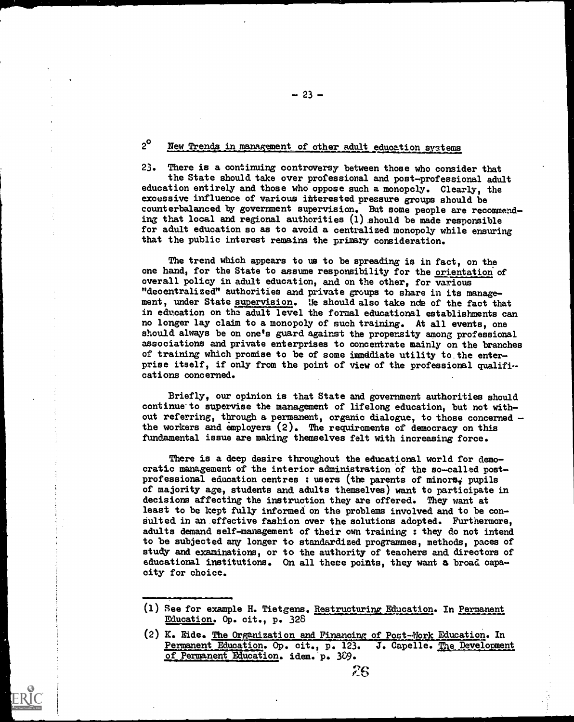# 2<sup>°</sup> New Trends in management of other adult education systems

23. There is a continuing controversy between those who consider that the State should take over professional and post-professional adult education entirely and those who oppose such a monopcly. Clearly, the excessive influence of various interested pressure groups should be counterbalanced by government supervision. But some people are recommending that local and regional authorities (1) should be made responsible for adult education so as to avoid a centralized monopoly while ensuring that the public interest remains the primary consideration.

The trend which appears to us to be spreading is in fact, on the one hand, for the State to assume responsibility for the orientation of overall policy in adult education, and on the other, for various "decentralized" authorities and private groups to share in its management, under State supervision. We should also take nde of the fact that in education on the adult level the formal educational establishments can no longer lay claim to a monopoly of such training. At all events, one should always be on one's guard against the propensity among professional associations and private enterprises to concentrate mainly on the branches of training which promise to be of some immediate utility to. the enterprise itself, if only from the point of view of the professional qualifications concerned.

Briefly, our opinion is that State and government authorities should continue to supervise the management of lifelong education, but not without referring, through a permanent, organic dialogue, to those concerned the workers and employers (2). The requirements of democracy on this fundamental issue are making themselves felt with increasing force.

There is a deep desire throughout the educational world for democratic management of the interior administration of the so-called postprofessional education centres : users (the parents of minors<sub>i</sub> pupils of majority age, students and adults themselves) want to participate in decisions affecting the instruction they are offered. They want at least to be kept fully informed on the problems involved and to be consulted in an effective fashion over the solutions adopted. Furthermore, adults demand self-management of their own training : they do not intend to be subjected any longer to standardized programmes, methods, paces of study and examinations, or to the authority of teachers and directors of educational institutions. On all these points, they want a broad capaadults demand self-management of their own training : they do not intend<br>to be subjected any longer to standardized programmes, methods, paces of<br>study and examinations, or to the authority of teachers and directors of<br>edu

 $-23 -$ 

<sup>(1)</sup> See for example H. Tietgens. Restructuring Education. In Permanent Education. Op. cit., p. 328

<sup>(2)</sup> K. Eide. The Organization and Financing of Post-Work Education. In Permanent Education. Op. cit., p. 123. of Permanent Education. idem. p. 389. J. Capelle. Development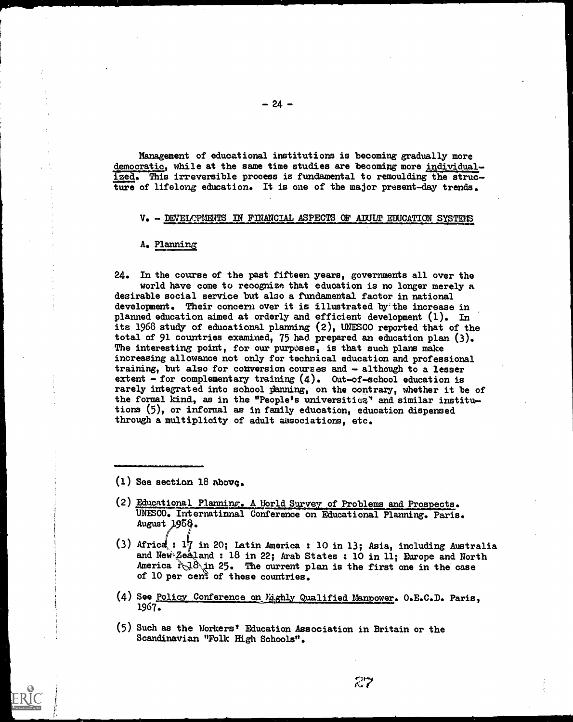Management of educational institutions is becoming gradually more democratic, while at the same time studies are becoming more individualized. This irreversible process is fundamental to remoulding the structure of lifelong education. It is one of the major present-day trends.

#### V. - DEVELOPMENTS IN FINANCIAL ASPECTS OF ADULT EDUCATION SYSTEMS

A. Planning

24. In the course of the past fifteen years, governments all over the world have come to recognize that education is no longer merely a desirable social service but also a fundamental factor in national development. Their concern over it is illustrated by the increase in planned education aimed at orderly and efficient development (1). In its 1968 study of educational planning (2), UNESCO reported that of the total of 91 countries examined, 75 had prepared an education plan (3). The interesting point, for our purposes, is that such plans make increasing allowance not only for technical education and professional training, but also for conversion courses and - although to a lesser extent - for complementary training  $(4)$ . Out-of-school education is rarely integrated into school panning, on the contrary, whether it be of the formal kind, as in the "People's universities" and similar institutions (5), or informal as in family education, education dispensed through a multiplicity of adult associations, etc.

(1) See section 18 above.

../MaN/0=011

- (2) Educational Planning. A World Survey of Problems and Prospects. UNESCO. International Conference on Educational Planning. Paris. August 1968.
- (3) Africa : 17 in 20; Latin America : 10 in 13; Asia, including Australia and New Zealand : 18 in 22; Arab States : 10 in 11; Europe and North America  $\sqrt[3]{18}$  in 25. The current plan is the first one in the case of 10 per cent of these countries.
- (4) See Policy Conference on *Fighly Qualified Manpower*. O.E.C.D. Paris, 1967.
- (5) Such as the Workers' Education Association in Britain or the Scandinavian "Folk High Schools".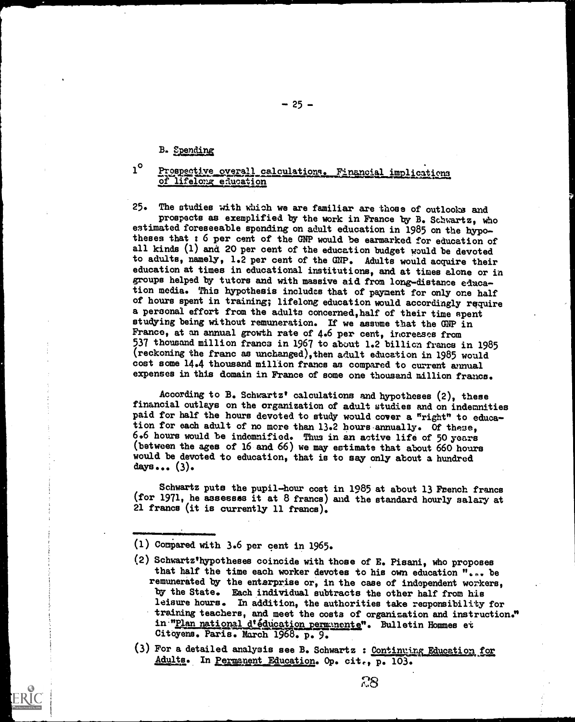# B. Spending

# 1<sup>o</sup> Prospective overall calculations. Financial implications of lifelong education

25. The studies with which we are familiar are those of outlooks and prospects as exemplified by the work in France by B. Schwartz, who estimated foreseeable spending on adult education in 1985 on the hypotheses that : 6 per cent of the GNP would be earmarked for education of all kinds (1) and 20 per cent of the education budget would be devoted to adults, namely, 1.2 per cent of the GNP. Adults would acquire their education at times in educational institutions, and at times alone or in groups helped by tutors and with massive aid from long-distance education media. This hypothesis includes that of payment for only one half of hours spent in training; lifelong education would accordingly require a personal effort from the adults concerned,half of their time spent studying being without remuneration. If we assume that the GNP in France, at an annual growth rate of 4.6 per cent, increases from 537 thousand million francs in 1967 to about 1.2 billion francs in 1985 (reckoning the franc as unchanged),then adult education in 1985 would cost some 14.4 thousand million francs as compared to current annual expenses in this domain in France of some one thousand million franca.

According to B. Schwartz' calculations and hypotheses (2), these financial outlays on the organization of adult studies and on indemnities paid for half the hours devoted to study would cover a "right" to education for each adult of no more than 13.2 hours annually. Of these, 6.6 hours would be indemnified. Thus in an active life of 50 years (between the ages of 16 and 66) we may estimate that about 660 hours would be devoted to education, that is to say only about a hundred days...  $(3)$ .

Schwartz puts the pupil-hour cost in 1985 at about 13 French francs (for 1971, he assesses it at 8 francs) and the standard hourly salary at 21 francs (it is currently 11 francs).

- (1) Compared with 3.6 per cent in 1965.
- (2) Schwartz'hypotheses coincide with those of E. Pisani, who proposes that half the time each worker devotes to his own education "... be remunerated by the enterprise or, in the case of independent workers, by the State. Each individual subtracts the other half from his leisure hours. In addition, the authorities take responsibility for training teachers, and meet the costs of organization and instruction:" in<sup>-m</sup>Plan national d'éducation permunente". Bulletin Hommes et Citoyens. Paris. March 1968. p. 9.
- (3) For a detailed analysis see B. Schwartz : Continuing Education for Adults. In Permanent Education. Op. cit., p. 103.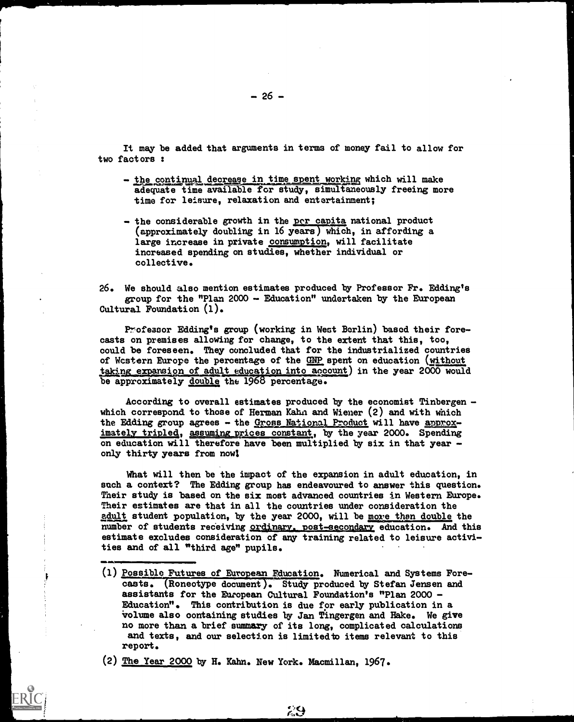It may be added that arguments in terms of money fail to allow for two factors :

- the continual decrease in time spent working which will make adequate time available for study, simultaneously freeing more time for leisure, relaxation and entertainment;
- the considerable growth in the per capita national product (approximately doubling in 16 years) which, in affording a large increase in private consumption, will facilitate increased spending on studies, whether individual or collective.

26. We should also mention estimates produced by Professor Fr. Edding's group for the "Plan 2000 - Education" undertaken by the European Cultural Foundation (1).

Professor Edding's group (working in West Berlin) based their forecasts on premises allowing for change, to the extent that this, too, could be foreseen. They concluded that for the industrialized countries of Wcstern Europe the percentage of the GNP spent on education (without taking expansion of adult education into account) in the year 2000 would be approximately double the 1968 percentage.

According to overall estimates produced by the economist Tinbergen which correspond to those of Herman Kahn and Wiener  $(2)$  and with which the Edding group agrees - the Gross National Product will have approximately tripled, assuming prices constant, by the year 2000. Spending on education will therefore have been multiplied by six in that year only thirty years from now

What will then be the impact of the expansion in adult education, in such a context? The Edding group has endeavoured to answer this question. Their study is based on the six most advanced countries in Western Europe. Their estimates are that in all the countries under consideration the adult student population, by the year 2000, will be more than double the number of students receiving <u>ordinary, post-secondary</u> education. And this estimate excludes consideration of any training related to leisure activities and of all "third age" pupils.

(1) <u>Possible Futures of European Education</u>. Numerical and Systems Forecasts. (Roneotype document). Study produced by Stefan Jensen and assistants for the European Cultural Foundation's "Plan 2000 - Education". This contribution is due for early publication in a volume also containing studies by Jan Tingergen and Hake. We give no more than a brief summary of its long, complicated calculations and texts, and our selection is limited to items relevant to this report.

(2) The Year 2000 by H. Kahn. New York. Macmillan, 1967.

ţ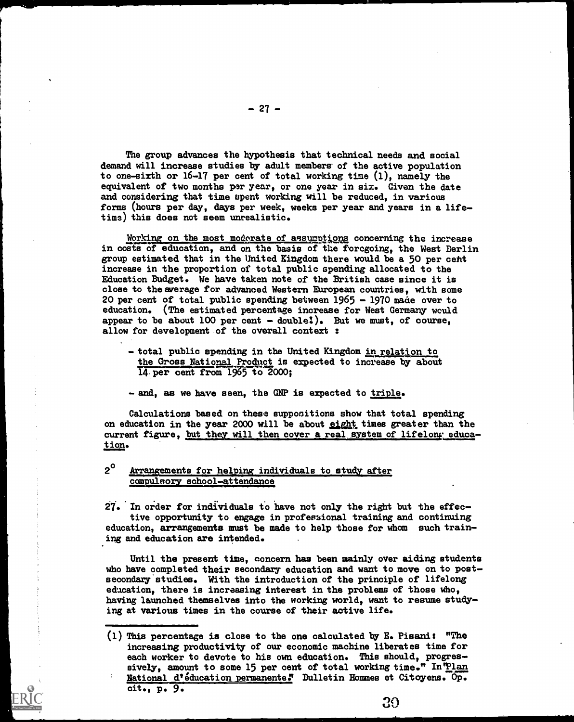The group advances the hypothesis that technical needs and social demand will increase studies by adult members of the active population to one-sixth or 16-17 per cent of total working time (1), namely the equivalent of two months par year, or one year in six. Given the date and considering that time spent working will be reduced, in various forms (hours per day, days per week, weeks per year and years in a lifetime) this does not seem unrealistic.

Working on the most modorate of assumptions concerning the increase in costs of education, and on the basis of the foregoing, the West Berlin group estimated that in the United Kingdom there would be a 50 per ceht increase in the proportion of total public spending allocated to the Education Budget. We have taken note of the British case since it is close to the average for advanced Western European countries, with some 20 per cent of total public spending between 1965 - 1970 made over to education. (The estimated percentage increase for West Germany would appear to be about  $100$  per cent  $-$  double!). But we must, of course, allow for development of the overall context :

- total public spending in the United Kingdom in relation to the Gross National Product is expected to increase by about  $14.$  per cent from 1965 to 2000;
- and, as we have seen, the GNP is expected to triple.

Calculations based on these suppositions show that total spending on education in the year 2000 will be about eight times greater than the current figure, but they will then cover a real system of lifelong education.

# 2<sup>°</sup> Arrangements for helping individuals to study after compulsory school-attendance

 $27.$  In order for individuals to have not only the right but the effective opportunity to engage in profesional training and continuing education, arrangements must be made to help those for whom such training and education are intended.

Until the present time, concern has been mainly over aiding students who have completed their secondary education and want to move on to postsecondary studies. With the introduction of the principle of lifelong education, there is increasing interest in the problems of those who, having launched themselves into the working world, want to resume studying at various times in the course of their active life.

20

<sup>(1)</sup> This percentage is close to the one calculated by E. Pisani: "The increasing productivity of our economic machine liberates time for each worker to devote to his own education. This should, progressively, amount to some 15 per cent of total working time." In Plan National d'éducation permanente." Dulletin Hommes et Citoyens. Op. cit., p. 9.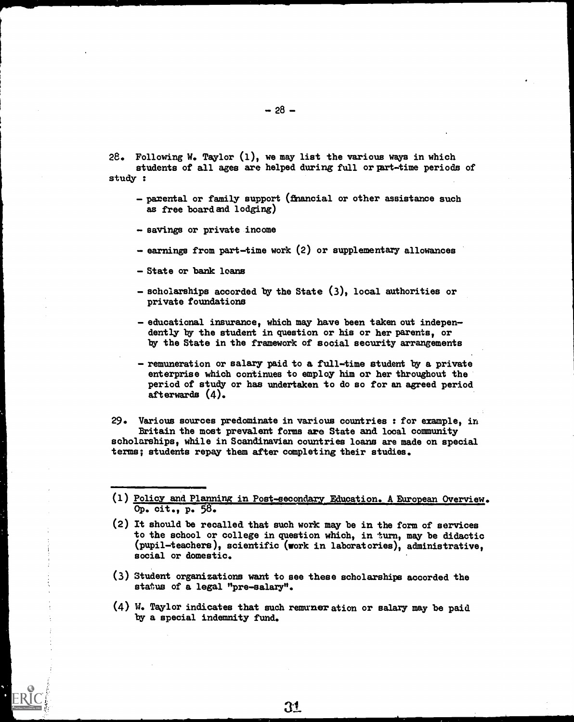- 28. Following W. Taylor (1), we may list the various ways in which students of all ages are helped during full or part-time periods of study :
	- parental or family support (financial or other assistance such as free board and lodging)

- savings or private income

- earnings from part-time work (2) or supplementary allowances
- State or bank loans
- scholarships accorded by the State (3), local authorities or private foundations
- educational insurance, which may have been taken out independently by the student in question or his or her parents, or by the State in the framework of social security arrangements
- remuneration or salary paid to a full-time student by a private enterprise which continues to employ him or her throughout the period of study or has undertaken to do so for an agreed period afterwards (4).

29. Various sources predominate in various countries : for example, in. Britain the moat prevalent forms are State and local community scholarships, while in Scandinavian countries loans are made on special terms; students repay them after completing their studies.

- (1) <u>Policy and Planning in Post-secondary Education. A European Overview</u>. Op. cit., p. 58.
- (2) It should be recalled that such work may be in the form of services to the school or college in question which, in turn, may be didactic (pupil-teachers), scientific (work in laboratories), administrative, social or domestic.
- (3) Student organizations want to see these scholarships accorded the status of a legal "pre-salary".
- (4) W. Taylor indicates that such remuneration or salary may be paid by a special indemnity fund.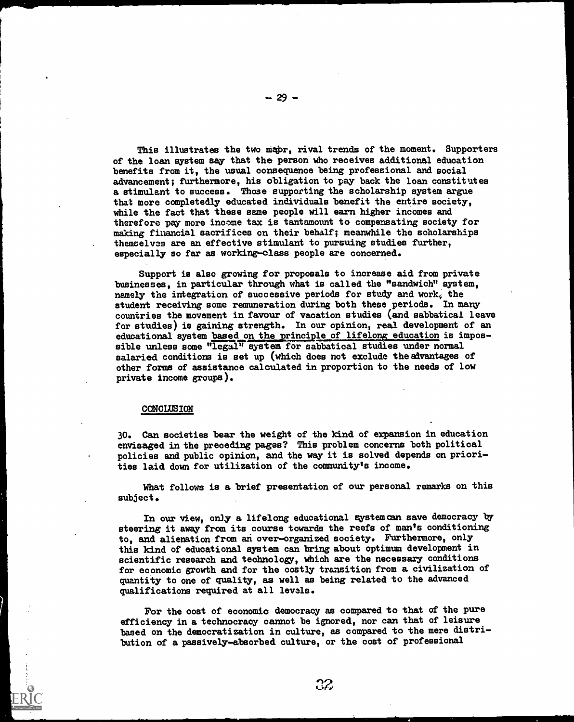This illustrates the two mapr, rival trends of the moment. Supporters of the loan system say that the person who receives additional education benefits from it, the usual consequence being professional and social advancement; furthermore, his obligation to pay back the loan constitutes a stimulant to success. Those supporting the scholarship system argue that more completedly educated individuals benefit the entire society, while the fact that these same people will earn higher incomes and therefore pay more income tax is tantamount to compensating society for making financial sacrifices on their behalf; meanwhile the scholarships themselves are an effective stimulant to pursuing studies further, especially so far as working-class people are concerned.

Support is also growing for proposals to increase aid from private businesses, in particular through what is called the "sandwich" system, namely the integration of successive periods for study and work, the student receiving some remuneration during both these periods. In many countries the movement in favour of vacation studies (and sabbatical leave for studies) is gaining strength. In our opinion, real development of an educational system based on the principle of lifelong education is impossible unless some "legal" system for sabbatical studies under normal salaried conditions is set up (which does not exclude the advantages of other forms of assistance calculated in proportion to the needs of low private income groups).

#### CONCLUSION

30. Can societies bear the weight of the kind of expansion in education envisaged in the preceding pages? This problem concerns both political policies and public opinion, and the way it is solved depends on priorities laid down for utilization of the community's income.

What follows is a brief presentation of our personal remarks on this subject.

In our view, only a lifelong educational system can save democracy by steering it away from its course towards the reefs of man's conditioning to, and alienation from an over-organized society. Furthermore, only this kind of educational system can bring about optimum development in scientific research and technology, which are the necessary conditions for economic growth and for the costly transition from a civilization of quantity to one of quality, as well as being related to the advanced qualifications required at all levels.

For the oost of economic democracy as compared to that of the pure efficiency in a technocracy cannot be ignored, nor can that of leisure based on the democratization in culture, as compared to the mere distribution of a passively-absorbed culture, or the cost of professional